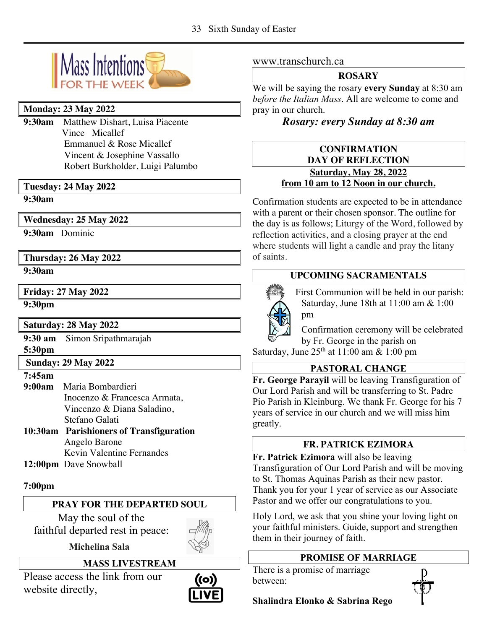

## **Monday: 23 May 2022**

**9:30am** Matthew Dishart, Luisa Piacente Vince Micallef **Emmanuel & Rose Micallef**  Vincent & Josephine Vassallo Robert Burkholder, Luigi Palumbo

## **Tuesday: 24 May 2022**

**9:30am**

## **Wednesday: 25 May 2022**

**9:30am** Dominic

**Thursday: 26 May 2022**

**9:30am**

**Friday: 27 May 2022**

**9:30pm** 

# **Saturday: 28 May 2022**

**9:30 am** Simon Sripathmarajah **5:30pm**

# **Sunday: 29 May 2022**

#### **7:45am**

- **9:00am** Maria Bombardieri Inocenzo & Francesca Armata, Vincenzo & Diana Saladino, Stefano Galati **10:30am Parishioners of Transfiguration** Angelo Barone Kevin Valentine Fernandes
- **12:00pm** Dave Snowball

## **7:00pm**

## **PRAY FOR THE DEPARTED SOUL**

May the soul of the faithful departed rest in peace:

 **Michelina Sala**

**MASS LIVESTREAM**

Please access the link from our website directly,



www.transchurch.ca

#### **ROSARY**

We will be saying the rosary **every Sunday** at 8:30 am *before the Italian Mass*. All are welcome to come and pray in our church.

# *Rosary: every Sunday at 8:30 am*

## **CONFIRMATION DAY OF REFLECTION Saturday, May 28, 2022 from 10 am to 12 Noon in our church.**

Confirmation students are expected to be in attendance with a parent or their chosen sponsor. The outline for the day is as follows; Liturgy of the Word, followed by reflection activities, and a closing prayer at the end where students will light a candle and pray the litany of saints.

# **UPCOMING SACRAMENTALS**



First Communion will be held in our parish: Saturday, June 18th at 11:00 am & 1:00 pm

Confirmation ceremony will be celebrated by Fr. George in the parish on

Saturday, June 25th at 11:00 am & 1:00 pm

# **PASTORAL CHANGE**

**Fr. George Parayil** will be leaving Transfiguration of Our Lord Parish and will be transferring to St. Padre Pio Parish in Kleinburg. We thank Fr. George for his 7 years of service in our church and we will miss him greatly.

## **FR. PATRICK EZIMORA**

**Fr. Patrick Ezimora** will also be leaving Transfiguration of Our Lord Parish and will be moving to St. Thomas Aquinas Parish as their new pastor. Thank you for your 1 year of service as our Associate Pastor and we offer our congratulations to you.

Holy Lord, we ask that you shine your loving light on your faithful ministers. Guide, support and strengthen them in their journey of faith.

# **PROMISE OF MARRIAGE**

There is a promise of marriage between:

**Shalindra Elonko & Sabrina Rego**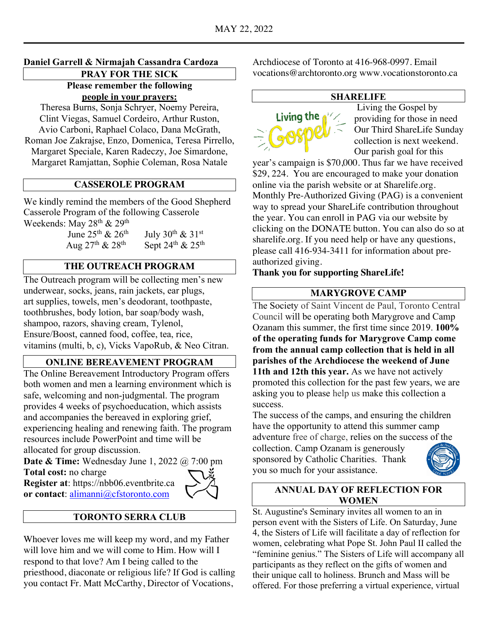## **Daniel Garrell & Nirmajah Cassandra Cardoza**

**PRAY FOR THE SICK Please remember the following people in your prayers:**

Theresa Burns, Sonja Schryer, Noemy Pereira, Clint Viegas, Samuel Cordeiro, Arthur Ruston, Avio Carboni, Raphael Colaco, Dana McGrath, Roman Joe Zakrajse, Enzo, Domenica, Teresa Pirrello, Margaret Speciale, Karen Radeczy, Joe Simardone, Margaret Ramjattan, Sophie Coleman, Rosa Natale

# **CASSEROLE PROGRAM**

We kindly remind the members of the Good Shepherd Casserole Program of the following Casserole Weekends: May 28<sup>th</sup> & 29<sup>th</sup>

> June  $25^{th}$  &  $26^{th}$  July  $30^{th}$  &  $31^{st}$ Aug  $27^{th}$  &  $28^{th}$  Sept  $24^{th}$  &  $25^{th}$

## **THE OUTREACH PROGRAM**

The Outreach program will be collecting men's new underwear, socks, jeans, rain jackets, ear plugs, art supplies, towels, men's deodorant, toothpaste, toothbrushes, body lotion, bar soap/body wash, shampoo, razors, shaving cream, Tylenol, Ensure/Boost, canned food, coffee, tea, rice, vitamins (multi, b, c), Vicks VapoRub, & Neo Citran.

#### **ONLINE BEREAVEMENT PROGRAM**

The Online Bereavement Introductory Program offers both women and men a learning environment which is safe, welcoming and non-judgmental. The program provides 4 weeks of psychoeducation, which assists and accompanies the bereaved in exploring grief, experiencing healing and renewing faith. The program resources include PowerPoint and time will be allocated for group discussion.

**Date & Time:** Wednesday June 1, 2022 @ 7:00 pm **Total cost:** no charge

**Register at**: https://nbb06.eventbrite.ca **or contact**: alimanni@cfstoronto.com



#### **TORONTO SERRA CLUB**

Whoever loves me will keep my word, and my Father will love him and we will come to Him. How will I respond to that love? Am I being called to the priesthood, diaconate or religious life? If God is calling you contact Fr. Matt McCarthy, Director of Vocations,

Archdiocese of Toronto at 416-968-0997. Email vocations@archtoronto.org www.vocationstoronto.ca

#### **SHARELIFE**



Living the Gospel by providing for those in need Our Third ShareLife Sunday collection is next weekend. Our parish goal for this

year's campaign is \$70,000. Thus far we have received \$29, 224. You are encouraged to make your donation online via the parish website or at Sharelife.org. Monthly Pre-Authorized Giving (PAG) is a convenient way to spread your ShareLife contribution throughout the year. You can enroll in PAG via our website by clicking on the DONATE button. You can also do so at sharelife.org. If you need help or have any questions, please call 416-934-3411 for information about preauthorized giving.

**Thank you for supporting ShareLife!**

## **MARYGROVE CAMP**

The Society of Saint Vincent de Paul, Toronto Central Council will be operating both Marygrove and Camp Ozanam this summer, the first time since 2019. **100% of the operating funds for Marygrove Camp come from the annual camp collection that is held in all parishes of the Archdiocese the weekend of June 11th and 12th this year.** As we have not actively promoted this collection for the past few years, we are asking you to please help us make this collection a success.

The success of the camps, and ensuring the children have the opportunity to attend this summer camp adventure free of charge, relies on the success of the

collection. Camp Ozanam is generously sponsored by Catholic Charities. Thank you so much for your assistance.



## **ANNUAL DAY OF REFLECTION FOR WOMEN**

St. Augustine's Seminary invites all women to an in person event with the Sisters of Life. On Saturday, June 4, the Sisters of Life will facilitate a day of reflection for women, celebrating what Pope St. John Paul II called the "feminine genius." The Sisters of Life will accompany all participants as they reflect on the gifts of women and their unique call to holiness. Brunch and Mass will be offered. For those preferring a virtual experience, virtual